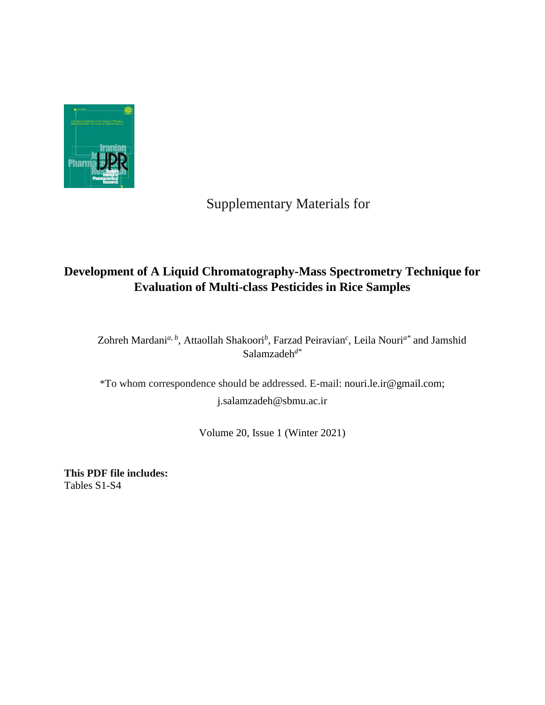

## Supplementary Materials for

## **Development of A Liquid Chromatography-Mass Spectrometry Technique for Evaluation of Multi-class Pesticides in Rice Samples**

Zohreh Mardani<sup>*a*, *b*</sup>, Attaollah Shakoori<sup>*b*</sup>, Farzad Peiravian<sup>*c*</sup>, Leila Nouri<sup>*a*\*</sup> and Jamshid Salamzadeh*d\**

\*To whom correspondence should be addressed. E-mail: nouri.le.ir@gmail.com; j.salamzadeh@sbmu.ac.ir

Volume 20, Issue 1 (Winter 2021)

**This PDF file includes:**  Tables S1-S4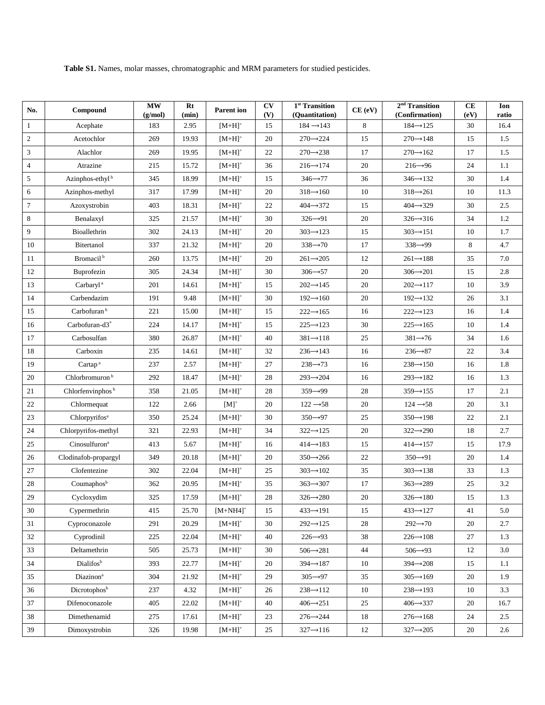**Table S1.** Names, molar masses, chromatographic and MRM parameters for studied pesticides.

| No.            | Compound                     | $\mathbf{MW}$<br>(g/mol) | Rt<br>(min) | <b>Parent ion</b>  | CV<br>(V) | $\overline{1^{st}}$ Transition<br>(Quantitation) | CE (eV) | $2nd$ Transition<br>(Confirmation) | <b>CE</b><br>(eV) | Ion<br>ratio |
|----------------|------------------------------|--------------------------|-------------|--------------------|-----------|--------------------------------------------------|---------|------------------------------------|-------------------|--------------|
| 1              | Acephate                     | 183                      | 2.95        | $[M+H]^+$          | 15        | $184 \rightarrow 143$                            | 8       | $184 \rightarrow 125$              | 30                | 16.4         |
| 2              | Acetochlor                   | 269                      | 19.93       | $[M+H]^+$          | 20        | $270 \rightarrow 224$                            | 15      | $270 \rightarrow 148$              | 15                | 1.5          |
| 3              | Alachlor                     | 269                      | 19.95       | $[M+H]^+$          | 22        | $270 \rightarrow 238$                            | 17      | $270 \rightarrow 162$              | 17                | 1.5          |
| $\overline{4}$ | Atrazine                     | 215                      | 15.72       | $[M+H]^+$          | 36        | $216 \rightarrow 174$                            | 20      | $216 \rightarrow 96$               | 24                | 1.1          |
| $\overline{5}$ | Azinphos-ethyl <sup>b</sup>  | 345                      | 18.99       | $[M+H]^+$          | 15        | $346 \rightarrow 77$                             | 36      | $346 \rightarrow 132$              | 30                | 1.4          |
| 6              | Azinphos-methyl              | 317                      | 17.99       | $[M+H]^+$          | 20        | $318 \rightarrow 160$                            | 10      | $318 \rightarrow 261$              | 10                | 11.3         |
| $\tau$         | Azoxystrobin                 | 403                      | 18.31       | $[M+H]^+$          | 22        | $404 \rightarrow 372$                            | 15      | $404 \rightarrow 329$              | 30                | 2.5          |
| 8              | Benalaxyl                    | 325                      | 21.57       | $[M+H]^+$          | 30        | $326 \rightarrow 91$                             | 20      | $326 \rightarrow 316$              | 34                | 1.2          |
| 9              | Bioallethrin                 | 302                      | 24.13       | $[M+H]^+$          | 20        | $303 \rightarrow 123$                            | 15      | $303 \rightarrow 151$              | 10                | 1.7          |
| 10             | Bitertanol                   | 337                      | 21.32       | $[M+H]^+$          | 20        | $338 \rightarrow 70$                             | 17      | $338 \rightarrow 99$               | 8                 | 4.7          |
| 11             | Bromacil <sup>b</sup>        | 260                      | 13.75       | $[M+H]^+$          | 20        | $261 \rightarrow 205$                            | 12      | $261 \rightarrow 188$              | 35                | 7.0          |
| 12             | Buprofezin                   | 305                      | 24.34       | $[M+H]^+$          | 30        | $306 \rightarrow 57$                             | 20      | $306 \rightarrow 201$              | 15                | 2.8          |
| 13             | Carbaryl <sup>a</sup>        | 201                      | 14.61       | $[M+H]^+$          | 15        | $202 \rightarrow 145$                            | 20      | $202 \rightarrow 117$              | 10                | 3.9          |
| 14             | Carbendazim                  | 191                      | 9.48        | $[M+H]^+$          | 30        | $192 \rightarrow 160$                            | 20      | $192 \rightarrow 132$              | 26                | 3.1          |
| 15             | Carbofuran <sup>b</sup>      | 221                      | 15.00       | $[M+H]^+$          | 15        | $222 \rightarrow 165$                            | 16      | $222 \rightarrow 123$              | 16                | 1.4          |
| 16             | Carbofuran-d3*               | 224                      | 14.17       | $[M+H]^+$          | 15        | $225 \rightarrow 123$                            | 30      | $225 \rightarrow 165$              | 10                | 1.4          |
| 17             | Carbosulfan                  | 380                      | 26.87       | $[M+H]^+$          | 40        | $381 \rightarrow 118$                            | 25      | $381 \rightarrow 76$               | 34                | 1.6          |
| 18             | Carboxin                     | 235                      | 14.61       | $[M+H]^+$          | 32        | 236→143                                          | 16      | $236 \rightarrow 87$               | 22                | 3.4          |
| 19             | Cartap <sup>a</sup>          | 237                      | 2.57        | $[M+H]^+$          | 27        | $238 \rightarrow 73$                             | 16      | $238 \rightarrow 150$              | 16                | 1.8          |
| 20             | Chlorbromuron <sup>b</sup>   | 292                      | 18.47       | $[M+H]^+$          | 28        | $293 \rightarrow 204$                            | 16      | $293 \rightarrow 182$              | 16                | 1.3          |
| 21             | Chlorfenvinphos <sup>b</sup> | 358                      | 21.05       | $[M+H]^+$          | 28        | $359 \rightarrow 99$                             | 28      | $359 \rightarrow 155$              | 17                | 2.1          |
| 22             | Chlormequat                  | 122                      | 2.66        | $[M]^+$            | 20        | $122 \rightarrow 58$                             | 20      | $124 \rightarrow 58$               | 20                | 3.1          |
| 23             | Chlorpyrifos <sup>a</sup>    | 350                      | 25.24       | $[M+H]^+$          | 30        | $350 \rightarrow 97$                             | 25      | $350 \rightarrow 198$              | 22                | 2.1          |
| 24             | Chlorpyrifos-methyl          | 321                      | 22.93       | $[M+H]^+$          | 34        | $322 \rightarrow 125$                            | 20      | $322 \rightarrow 290$              | 18                | 2.7          |
| 25             | Cinosulfuron <sup>a</sup>    | 413                      | 5.67        | $[M+H]^+$          | 16        | $414 \rightarrow 183$                            | 15      | $414 \rightarrow 157$              | 15                | 17.9         |
| 26             | Clodinafob-propargyl         | 349                      | 20.18       | $[M+H]^+$          | 20        | $350 \rightarrow 266$                            | 22      | $350 \rightarrow 91$               | 20                | 1.4          |
| 27             | Clofentezine                 | 302                      | 22.04       | $[M+H]^+$          | 25        | $303 \rightarrow 102$                            | 35      | $303 \rightarrow 138$              | 33                | 1.3          |
| 28             | Coumaphosb                   | 362                      | 20.95       | $[M+H]^+$          | 35        | $363 \rightarrow 307$                            | 17      | $363 \rightarrow 289$              | 25                | 3.2          |
| 29             | Cycloxydim                   | 325                      | 17.59       | $[\mathrm{M+H}]^+$ | $28\,$    | $326 \rightarrow 280$                            | 20      | $326 \rightarrow 180$              | 15                | 1.3          |
| 30             | Cypermethrin                 | 415                      | 25.70       | $[M+NH4]^+$        | 15        | $433 \rightarrow 191$                            | 15      | $433 \rightarrow 127$              | 41                | 5.0          |
| 31             | Cyproconazole                | 291                      | 20.29       | $[M+H]^+$          | 30        | $292 \rightarrow 125$                            | 28      | $292 \rightarrow 70$               | 20                | 2.7          |
| 32             | Cyprodinil                   | 225                      | 22.04       | $[M+H]^+$          | 40        | $226 \rightarrow 93$                             | 38      | $226 \rightarrow 108$              | 27                | 1.3          |
| 33             | Deltamethrin                 | 505                      | 25.73       | $[M+H]^+$          | 30        | $506 \rightarrow 281$                            | 44      | $506 \rightarrow 93$               | 12                | 3.0          |
| 34             | Dialifosb                    | 393                      | 22.77       | $[M+H]^+$          | 20        | $394 \rightarrow 187$                            | 10      | $394 \rightarrow 208$              | 15                | 1.1          |
| 35             | Diazinon <sup>a</sup>        | 304                      | 21.92       | $[M+H]^+$          | 29        | $305 \rightarrow 97$                             | 35      | $305 \rightarrow 169$              | 20                | 1.9          |
| 36             | Dicrotophosb                 | 237                      | 4.32        | $[M+H]^+$          | 26        | $238 \rightarrow 112$                            | 10      | $238 \rightarrow 193$              | 10                | 3.3          |
| 37             | Difenoconazole               | 405                      | 22.02       | $[M+H]^+$          | 40        | $406 \rightarrow 251$                            | 25      | $406 \rightarrow 337$              | 20                | 16.7         |
| 38             | Dimethenamid                 | 275                      | 17.61       | $[M+H]^+$          | 23        | $276 \rightarrow 244$                            | 18      | $276 \rightarrow 168$              | 24                | 2.5          |
| 39             | Dimoxystrobin                | 326                      | 19.98       | $[M+H]^+$          | 25        | $327 \rightarrow 116$                            | 12      | $327 \rightarrow 205$              | 20                | 2.6          |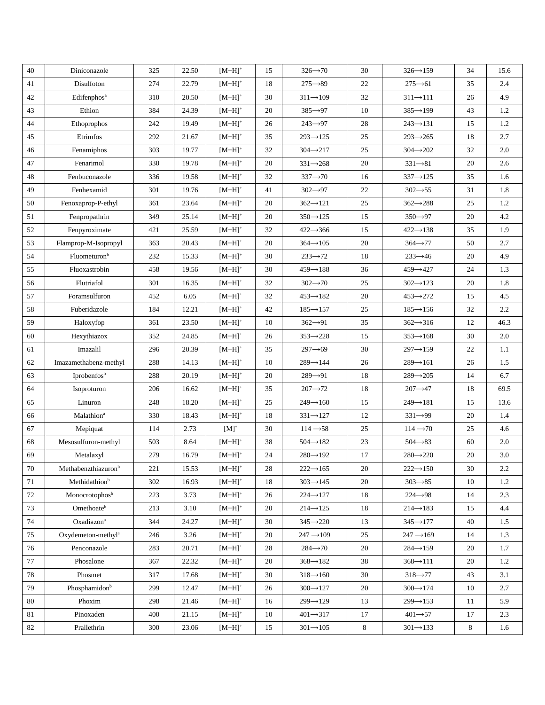| 40     | Diniconazole                    | 325 | 22.50 | $[M+H]$ <sup>+</sup> | 15 | $326 \rightarrow 70$  | 30 | $326 \rightarrow 159$ | 34 | 15.6    |
|--------|---------------------------------|-----|-------|----------------------|----|-----------------------|----|-----------------------|----|---------|
| 41     | Disulfoton                      | 274 | 22.79 | $[M+H]^+$            | 18 | $275 \rightarrow 89$  | 22 | $275 \rightarrow 61$  | 35 | 2.4     |
| 42     | Edifenphos <sup>a</sup>         | 310 | 20.50 | $[M+H]^+$            | 30 | $311 \rightarrow 109$ | 32 | $311 \rightarrow 111$ | 26 | 4.9     |
| 43     | Ethion                          | 384 | 24.39 | $[M+H]^+$            | 20 | $385 \rightarrow 97$  | 10 | $385 \rightarrow 199$ | 43 | 1.2     |
| 44     | Ethoprophos                     | 242 | 19.49 | $[M+H]^+$            | 26 | $243 \rightarrow 97$  | 28 | $243 \rightarrow 131$ | 15 | 1.2     |
| 45     | Etrimfos                        | 292 | 21.67 | $[M+H]^+$            | 35 | $293 \rightarrow 125$ | 25 | $293 \rightarrow 265$ | 18 | 2.7     |
| 46     | Fenamiphos                      | 303 | 19.77 | $[M+H]^+$            | 32 | $304 \rightarrow 217$ | 25 | $304 \rightarrow 202$ | 32 | 2.0     |
| 47     | Fenarimol                       | 330 | 19.78 | $[M+H]^+$            | 20 | $331 \rightarrow 268$ | 20 | $331 \rightarrow 81$  | 20 | 2.6     |
| 48     | Fenbuconazole                   | 336 | 19.58 | $[M+H]^+$            | 32 | $337 \rightarrow 70$  | 16 | $337 \rightarrow 125$ | 35 | 1.6     |
| 49     | Fenhexamid                      | 301 | 19.76 | $[M+H]^+$            | 41 | $302 \rightarrow 97$  | 22 | $302 \rightarrow 55$  | 31 | 1.8     |
| 50     | Fenoxaprop-P-ethyl              | 361 | 23.64 | $[M+H]^+$            | 20 | $362 \rightarrow 121$ | 25 | $362 \rightarrow 288$ | 25 | 1.2     |
| 51     | Fenpropathrin                   | 349 | 25.14 | $[M+H]^+$            | 20 | $350 \rightarrow 125$ | 15 | $350 \rightarrow 97$  | 20 | $4.2\,$ |
| 52     | Fenpyroximate                   | 421 | 25.59 | $[M+H]^+$            | 32 | $422 \rightarrow 366$ | 15 | $422 \rightarrow 138$ | 35 | 1.9     |
| 53     | Flamprop-M-Isopropyl            | 363 | 20.43 | $[M+H]^+$            | 20 | $364 \rightarrow 105$ | 20 | $364 \rightarrow 77$  | 50 | 2.7     |
| 54     | Fluometuron <sup>b</sup>        | 232 | 15.33 | $[M+H]^+$            | 30 | $233 \rightarrow 72$  | 18 | $233 \rightarrow 46$  | 20 | 4.9     |
| 55     | Fluoxastrobin                   | 458 | 19.56 | $[M+H]$ <sup>+</sup> | 30 | $459 \rightarrow 188$ | 36 | $459 - 427$           | 24 | 1.3     |
| 56     | Flutriafol                      | 301 | 16.35 | $[M+H]^+$            | 32 | $302 \rightarrow 70$  | 25 | $302 \rightarrow 123$ | 20 | 1.8     |
| 57     | Foramsulfuron                   | 452 | 6.05  | $[M+H]^+$            | 32 | $453 \rightarrow 182$ | 20 | $453 \rightarrow 272$ | 15 | 4.5     |
| 58     | Fuberidazole                    | 184 | 12.21 | $[M+H]^+$            | 42 | $185 \rightarrow 157$ | 25 | $185 \rightarrow 156$ | 32 | 2.2     |
| 59     | Haloxyfop                       | 361 | 23.50 | $[M+H]^+$            | 10 | $362 \rightarrow 91$  | 35 | $362 \rightarrow 316$ | 12 | 46.3    |
| 60     | Hexythiazox                     | 352 | 24.85 | $[M+H]^+$            | 26 | $353 \rightarrow 228$ | 15 | $353 \rightarrow 168$ | 30 | 2.0     |
| 61     | Imazalil                        | 296 | 20.39 | $[M+H]$ <sup>+</sup> | 35 | $297 \rightarrow 69$  | 30 | $297 \rightarrow 159$ | 22 | 1.1     |
| 62     | Imazamethabenz-methyl           | 288 | 14.13 | $[M+H]^+$            | 10 | $289 \rightarrow 144$ | 26 | $289 \rightarrow 161$ | 26 | 1.5     |
| 63     | Iprobenfos <sup>b</sup>         | 288 | 20.19 | $[M+H]$ <sup>+</sup> | 20 | $289 \rightarrow 91$  | 18 | $289 \rightarrow 205$ | 14 | 6.7     |
| 64     | Isoproturon                     | 206 | 16.62 | $[M+H]^+$            | 35 | $207 \rightarrow 72$  | 18 | $207 - 47$            | 18 | 69.5    |
| 65     | Linuron                         | 248 | 18.20 | $[M+H]^+$            | 25 | $249 \rightarrow 160$ | 15 | $249 \rightarrow 181$ | 15 | 13.6    |
| 66     | Malathion <sup>a</sup>          | 330 | 18.43 | $[M+H]^+$            | 18 | $331 \rightarrow 127$ | 12 | $331 \rightarrow 99$  | 20 | 1.4     |
| 67     | Mepiquat                        | 114 | 2.73  | $[M]^+$              | 30 | $114 \rightarrow 58$  | 25 | $114 \rightarrow 70$  | 25 | 4.6     |
| 68     | Mesosulfuron-methyl             | 503 | 8.64  | $[M+H]^+$            | 38 | $504 \rightarrow 182$ | 23 | $504 \rightarrow 83$  | 60 | 2.0     |
| 69     | Metalaxyl                       | 279 | 16.79 | $[M+H]^+$            | 24 | $280 \rightarrow 192$ | 17 | $280 \rightarrow 220$ | 20 | 3.0     |
| $70\,$ | Methabenzthiazuron <sup>b</sup> | 221 | 15.53 | $[M+H]^+$            | 28 | $222 \rightarrow 165$ | 20 | $222 \rightarrow 150$ | 30 | $2.2\,$ |
| 71     | Methidathionb                   | 302 | 16.93 | $[M+H]^+$            | 18 | $303 \rightarrow 145$ | 20 | $303 \rightarrow 85$  | 10 | 1.2     |
| 72     | Monocrotophosb                  | 223 | 3.73  | $[M+H]^+$            | 26 | $224 \rightarrow 127$ | 18 | $224 \rightarrow 98$  | 14 | 2.3     |
| 73     | Omethoateb                      | 213 | 3.10  | $[M+H]^+$            | 20 | $214 \rightarrow 125$ | 18 | $214 \rightarrow 183$ | 15 | 4.4     |
| 74     | Oxadiazon <sup>a</sup>          | 344 | 24.27 | $[M+H]^+$            | 30 | $345 \rightarrow 220$ | 13 | $345 \rightarrow 177$ | 40 | 1.5     |
| 75     | Oxydemeton-methyl <sup>a</sup>  | 246 | 3.26  | $[M+H]^+$            | 20 | $247 \rightarrow 109$ | 25 | $247 \rightarrow 169$ | 14 | 1.3     |
| 76     | Penconazole                     | 283 | 20.71 | $[M+H]^+$            | 28 | $284 \rightarrow 70$  | 20 | $284 \rightarrow 159$ | 20 | 1.7     |
| 77     | Phosalone                       | 367 | 22.32 | $[M+H]^+$            | 20 | $368 \rightarrow 182$ | 38 | $368 \rightarrow 111$ | 20 | 1.2     |
| 78     | Phosmet                         | 317 | 17.68 | $[M+H]^+$            | 30 | $318 \rightarrow 160$ | 30 | $318 \rightarrow 77$  | 43 | 3.1     |
| 79     | Phosphamidon <sup>b</sup>       | 299 | 12.47 | $[M+H]^+$            | 26 | $300 \rightarrow 127$ | 20 | $300 \rightarrow 174$ | 10 | 2.7     |
| 80     | Phoxim                          | 298 | 21.46 | $[M+H]^+$            | 16 | $299 \rightarrow 129$ | 13 | $299 \rightarrow 153$ | 11 | 5.9     |
| 81     | Pinoxaden                       | 400 | 21.15 | $[M+H]^+$            | 10 | $401 \rightarrow 317$ | 17 | $401 \rightarrow 57$  | 17 | 2.3     |
| 82     | Prallethrin                     | 300 | 23.06 | $[M+H]^+$            | 15 | $301 \rightarrow 105$ | 8  | $301 \rightarrow 133$ | 8  | 1.6     |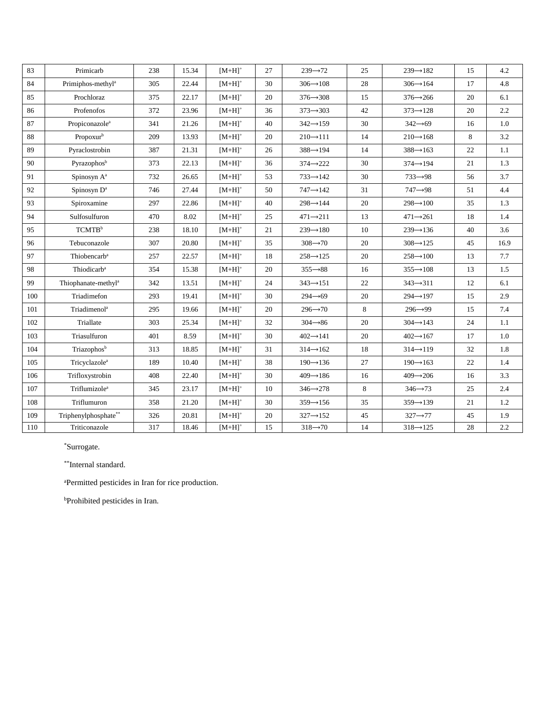| 83  | Primicarb                       | 238 | 15.34 | $[M+H]$ <sup>+</sup> | 27 | $239 \rightarrow 72$  | 25 | $239 - 182$           | 15 | 4.2     |
|-----|---------------------------------|-----|-------|----------------------|----|-----------------------|----|-----------------------|----|---------|
| 84  | Primiphos-methyl <sup>a</sup>   | 305 | 22.44 | $[M+H]$ <sup>+</sup> | 30 | $306 \rightarrow 108$ | 28 | $306 \rightarrow 164$ | 17 | 4.8     |
| 85  | Prochloraz                      | 375 | 22.17 | $[M+H]^+$            | 20 | $376 \rightarrow 308$ | 15 | $376 \rightarrow 266$ | 20 | 6.1     |
| 86  | Profenofos                      | 372 | 23.96 | $[M+H]^+$            | 36 | $373 \rightarrow 303$ | 42 | $373 \rightarrow 128$ | 20 | $2.2\,$ |
| 87  | Propiconazole <sup>a</sup>      | 341 | 21.26 | $[M+H]$ <sup>+</sup> | 40 | $342 \rightarrow 159$ | 30 | $342 \rightarrow 69$  | 16 | 1.0     |
| 88  | Propoxurb                       | 209 | 13.93 | $[M+H]$ <sup>+</sup> | 20 | $210 \rightarrow 111$ | 14 | $210 \rightarrow 168$ | 8  | $3.2\,$ |
| 89  | Pyraclostrobin                  | 387 | 21.31 | $[M+H]^+$            | 26 | $388 \rightarrow 194$ | 14 | $388 \rightarrow 163$ | 22 | $1.1\,$ |
| 90  | Pyrazophosb                     | 373 | 22.13 | $[M+H]^+$            | 36 | $374 \rightarrow 222$ | 30 | $374 \rightarrow 194$ | 21 | 1.3     |
| 91  | Spinosyn A <sup>a</sup>         | 732 | 26.65 | $[M+H]^+$            | 53 | $733 \rightarrow 142$ | 30 | $733 \rightarrow 98$  | 56 | 3.7     |
| 92  | Spinosyn D <sup>a</sup>         | 746 | 27.44 | $[M+H]^+$            | 50 | $747 \rightarrow 142$ | 31 | $747 \rightarrow 98$  | 51 | 4.4     |
| 93  | Spiroxamine                     | 297 | 22.86 | $[M+H]^+$            | 40 | $298 \rightarrow 144$ | 20 | $298 \rightarrow 100$ | 35 | 1.3     |
| 94  | Sulfosulfuron                   | 470 | 8.02  | $[M+H]$ <sup>+</sup> | 25 | $471 \rightarrow 211$ | 13 | $471 \rightarrow 261$ | 18 | 1.4     |
| 95  | TCMTB <sup>b</sup>              | 238 | 18.10 | $[M+H]^+$            | 21 | $239 \rightarrow 180$ | 10 | $239 \rightarrow 136$ | 40 | 3.6     |
| 96  | Tebuconazole                    | 307 | 20.80 | $[M+H]$ <sup>+</sup> | 35 | $308 \rightarrow 70$  | 20 | $308 \rightarrow 125$ | 45 | 16.9    |
| 97  | Thiobencarb <sup>a</sup>        | 257 | 22.57 | $[M+H]^+$            | 18 | $258 \rightarrow 125$ | 20 | $258 \rightarrow 100$ | 13 | 7.7     |
| 98  | Thiodicarb <sup>a</sup>         | 354 | 15.38 | $[M+H]^+$            | 20 | $355 \rightarrow 88$  | 16 | $355 \rightarrow 108$ | 13 | 1.5     |
| 99  | Thiophanate-methyl <sup>a</sup> | 342 | 13.51 | $[M+H]^+$            | 24 | $343 \rightarrow 151$ | 22 | $343 \rightarrow 311$ | 12 | 6.1     |
| 100 | Triadimefon                     | 293 | 19.41 | $[M+H]^+$            | 30 | $294 \rightarrow 69$  | 20 | $294 \rightarrow 197$ | 15 | 2.9     |
| 101 | Triadimenol <sup>a</sup>        | 295 | 19.66 | $[M+H]^+$            | 20 | $296 \rightarrow 70$  | 8  | $296 \rightarrow 99$  | 15 | 7.4     |
| 102 | Triallate                       | 303 | 25.34 | $[M+H]^+$            | 32 | $304 \rightarrow 86$  | 20 | $304 \rightarrow 143$ | 24 | 1.1     |
| 103 | Triasulfuron                    | 401 | 8.59  | $[M+H]^+$            | 30 | $402 \rightarrow 141$ | 20 | $402 \rightarrow 167$ | 17 | 1.0     |
| 104 | Triazophos <sup>b</sup>         | 313 | 18.85 | $[M+H]^+$            | 31 | $314 \rightarrow 162$ | 18 | $314 \rightarrow 119$ | 32 | 1.8     |
| 105 | Tricyclazole <sup>a</sup>       | 189 | 10.40 | $[M+H]$ <sup>+</sup> | 38 | $190 \rightarrow 136$ | 27 | $190 \rightarrow 163$ | 22 | 1.4     |
| 106 | Trifloxystrobin                 | 408 | 22.40 | $[M+H]^+$            | 30 | $409 \rightarrow 186$ | 16 | $409 \rightarrow 206$ | 16 | 3.3     |
| 107 | Triflumizole <sup>a</sup>       | 345 | 23.17 | $[M+H]^+$            | 10 | $346 \rightarrow 278$ | 8  | $346 \rightarrow 73$  | 25 | 2.4     |
| 108 | Triflumuron                     | 358 | 21.20 | $[M+H]^+$            | 30 | $359 \rightarrow 156$ | 35 | $359 \rightarrow 139$ | 21 | 1.2     |
| 109 | Triphenylphosphate**            | 326 | 20.81 | $[M+H]^+$            | 20 | $327 \rightarrow 152$ | 45 | $327 \rightarrow 77$  | 45 | 1.9     |
| 110 | Triticonazole                   | 317 | 18.46 | $[M+H]^+$            | 15 | $318 \rightarrow 70$  | 14 | $318 \rightarrow 125$ | 28 | 2.2     |

\*Surrogate.

\*\*Internal standard.

<sup>a</sup>Permitted pesticides in Iran for rice production.

<sup>b</sup>Prohibited pesticides in Iran.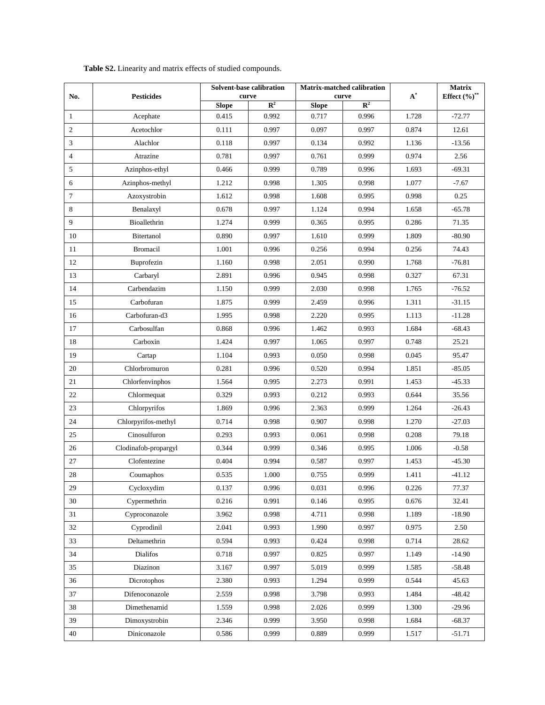| No.            | <b>Pesticides</b>    |              | Solvent-base calibration<br>curve |              | Matrix-matched calibration<br>curve | $\textbf{A}^*$ | Matrix             |  |
|----------------|----------------------|--------------|-----------------------------------|--------------|-------------------------------------|----------------|--------------------|--|
|                |                      | <b>Slope</b> | $\overline{\mathbb{R}^2}$         | <b>Slope</b> | $\mathbb{R}^2$                      |                | Effect $(\%)^{**}$ |  |
| 1              | Acephate             | 0.415        | 0.992                             | 0.717        | 0.996                               | 1.728          | $-72.77$           |  |
| $\sqrt{2}$     | Acetochlor           | 0.111        | 0.997                             | 0.097        | 0.997                               | 0.874          | 12.61              |  |
| 3              | Alachlor             | 0.118        | 0.997                             | 0.134        | 0.992                               | 1.136          | $-13.56$           |  |
| $\overline{4}$ | Atrazine             | 0.781        | 0.997                             | 0.761        | 0.999                               | 0.974          | 2.56               |  |
| 5              | Azinphos-ethyl       | 0.466        | 0.999                             | 0.789        | 0.996                               | 1.693          | $-69.31$           |  |
| 6              | Azinphos-methyl      | 1.212        | 0.998                             | 1.305        | 0.998                               | 1.077          | $-7.67$            |  |
| $\tau$         | Azoxystrobin         | 1.612        | 0.998                             | 1.608        | 0.995                               | 0.998          | 0.25               |  |
| $\,8\,$        | Benalaxyl            | 0.678        | 0.997                             | 1.124        | 0.994                               | 1.658          | $-65.78$           |  |
| 9              | Bioallethrin         | 1.274        | 0.999                             | 0.365        | 0.995                               | 0.286          | 71.35              |  |
| $10\,$         | Bitertanol           | 0.890        | 0.997                             | 1.610        | 0.999                               | 1.809          | $-80.90$           |  |
| 11             | <b>Bromacil</b>      | 1.001        | 0.996                             | 0.256        | 0.994                               | 0.256          | 74.43              |  |
| 12             | Buprofezin           | 1.160        | 0.998                             | 2.051        | 0.990                               | 1.768          | $-76.81$           |  |
| 13             | Carbaryl             | 2.891        | 0.996                             | 0.945        | 0.998                               | 0.327          | 67.31              |  |
| 14             | Carbendazim          | 1.150        | 0.999                             | 2.030        | 0.998                               | 1.765          | $-76.52$           |  |
| 15             | Carbofuran           | 1.875        | 0.999                             | 2.459        | 0.996                               | 1.311          | $-31.15$           |  |
| 16             | Carbofuran-d3        | 1.995        | 0.998                             | 2.220        | 0.995                               | 1.113          | $-11.28$           |  |
| $17\,$         | Carbosulfan          | 0.868        | 0.996                             | 1.462        | 0.993                               | 1.684          | $-68.43$           |  |
| 18             | Carboxin             | 1.424        | 0.997                             | 1.065        | 0.997                               | 0.748          | 25.21              |  |
| 19             | Cartap               | 1.104        | 0.993                             | 0.050        | 0.998                               | 0.045          | 95.47              |  |
| 20             | Chlorbromuron        | 0.281        | 0.996                             | 0.520        | 0.994                               | 1.851          | -85.05             |  |
| $21\,$         | Chlorfenvinphos      | 1.564        | 0.995                             | 2.273        | 0.991                               | 1.453          | $-45.33$           |  |
| $22\,$         | Chlormequat          | 0.329        | 0.993                             | 0.212        | 0.993                               | 0.644          | 35.56              |  |
| $23\,$         | Chlorpyrifos         | 1.869        | 0.996                             | 2.363        | 0.999                               | 1.264          | $-26.43$           |  |
| 24             | Chlorpyrifos-methyl  | 0.714        | 0.998                             | 0.907        | 0.998                               | 1.270          | $-27.03$           |  |
| $25\,$         | Cinosulfuron         | 0.293        | 0.993                             | 0.061        | 0.998                               | 0.208          | 79.18              |  |
| $26\,$         | Clodinafob-propargyl | 0.344        | 0.999                             | 0.346        | 0.995                               | 1.006          | $-0.58$            |  |
| $27\,$         | Clofentezine         | 0.404        | 0.994                             | 0.587        | 0.997                               | 1.453          | $-45.30$           |  |
| $28\,$         | Coumaphos            | 0.535        | 1.000                             | 0.755        | 0.999                               | 1.411          | $-41.12$           |  |
| 29             | Cycloxydim           | 0.137        | 0.996                             | 0.031        | 0.996                               | 0.226          | 77.37              |  |
| 30             | Cypermethrin         | 0.216        | 0.991                             | 0.146        | 0.995                               | 0.676          | 32.41              |  |
| 31             | Cyproconazole        | 3.962        | 0.998                             | 4.711        | 0.998                               | 1.189          | -18.90             |  |
| 32             | Cyprodinil           | 2.041        | 0.993                             | 1.990        | 0.997                               | 0.975          | 2.50               |  |
| 33             | Deltamethrin         | 0.594        | 0.993                             | 0.424        | 0.998                               | 0.714          | 28.62              |  |
| 34             | Dialifos             | 0.718        | 0.997                             | 0.825        | 0.997                               | 1.149          | $-14.90$           |  |
| 35             | Diazinon             | 3.167        | 0.997                             | 5.019        | 0.999                               | 1.585          | $-58.48$           |  |
| 36             | Dicrotophos          | 2.380        | 0.993                             | 1.294        | 0.999                               | 0.544          | 45.63              |  |
| 37             | Difenoconazole       | 2.559        | 0.998                             | 3.798        | 0.993                               | 1.484          | $-48.42$           |  |
| 38             | Dimethenamid         | 1.559        | 0.998                             | 2.026        | 0.999                               | 1.300          | $-29.96$           |  |
| 39             | Dimoxystrobin        | 2.346        | 0.999                             | 3.950        | 0.998                               | 1.684          | -68.37             |  |
| 40             | Diniconazole         | 0.586        | 0.999                             | 0.889        | 0.999                               | 1.517          | $-51.71$           |  |

**Table S2.** Linearity and matrix effects of studied compounds.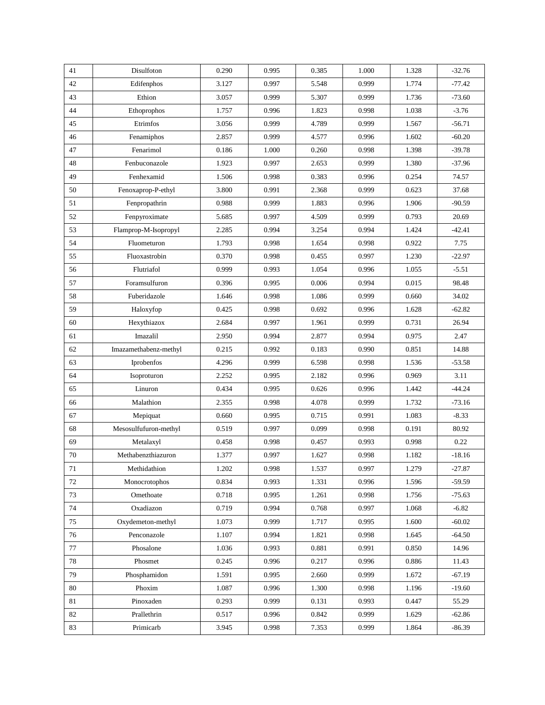| 41     | Disulfoton            | 0.290 | 0.995 | 0.385 | 1.000 | 1.328 | $-32.76$ |
|--------|-----------------------|-------|-------|-------|-------|-------|----------|
| 42     | Edifenphos            | 3.127 | 0.997 | 5.548 | 0.999 | 1.774 | $-77.42$ |
| 43     | Ethion                | 3.057 | 0.999 | 5.307 | 0.999 | 1.736 | $-73.60$ |
| 44     | Ethoprophos           | 1.757 | 0.996 | 1.823 | 0.998 | 1.038 | $-3.76$  |
| 45     | Etrimfos              | 3.056 | 0.999 | 4.789 | 0.999 | 1.567 | $-56.71$ |
| 46     | Fenamiphos            | 2.857 | 0.999 | 4.577 | 0.996 | 1.602 | $-60.20$ |
| 47     | Fenarimol             | 0.186 | 1.000 | 0.260 | 0.998 | 1.398 | $-39.78$ |
| 48     | Fenbuconazole         | 1.923 | 0.997 | 2.653 | 0.999 | 1.380 | $-37.96$ |
| 49     | Fenhexamid            | 1.506 | 0.998 | 0.383 | 0.996 | 0.254 | 74.57    |
| 50     | Fenoxaprop-P-ethyl    | 3.800 | 0.991 | 2.368 | 0.999 | 0.623 | 37.68    |
| 51     | Fenpropathrin         | 0.988 | 0.999 | 1.883 | 0.996 | 1.906 | $-90.59$ |
| 52     | Fenpyroximate         | 5.685 | 0.997 | 4.509 | 0.999 | 0.793 | 20.69    |
| 53     | Flamprop-M-Isopropyl  | 2.285 | 0.994 | 3.254 | 0.994 | 1.424 | $-42.41$ |
| 54     | Fluometuron           | 1.793 | 0.998 | 1.654 | 0.998 | 0.922 | 7.75     |
| 55     | Fluoxastrobin         | 0.370 | 0.998 | 0.455 | 0.997 | 1.230 | $-22.97$ |
| 56     | Flutriafol            | 0.999 | 0.993 | 1.054 | 0.996 | 1.055 | $-5.51$  |
| 57     | Foramsulfuron         | 0.396 | 0.995 | 0.006 | 0.994 | 0.015 | 98.48    |
| 58     | Fuberidazole          | 1.646 | 0.998 | 1.086 | 0.999 | 0.660 | 34.02    |
| 59     | Haloxyfop             | 0.425 | 0.998 | 0.692 | 0.996 | 1.628 | $-62.82$ |
| $60\,$ | Hexythiazox           | 2.684 | 0.997 | 1.961 | 0.999 | 0.731 | 26.94    |
| 61     | Imazalil              | 2.950 | 0.994 | 2.877 | 0.994 | 0.975 | 2.47     |
| 62     | Imazamethabenz-methyl | 0.215 | 0.992 | 0.183 | 0.990 | 0.851 | 14.88    |
| 63     | Iprobenfos            | 4.296 | 0.999 | 6.598 | 0.998 | 1.536 | $-53.58$ |
| 64     | Isoproturon           | 2.252 | 0.995 | 2.182 | 0.996 | 0.969 | 3.11     |
| 65     | Linuron               | 0.434 | 0.995 | 0.626 | 0.996 | 1.442 | $-44.24$ |
| 66     | Malathion             | 2.355 | 0.998 | 4.078 | 0.999 | 1.732 | $-73.16$ |
| 67     | Mepiquat              | 0.660 | 0.995 | 0.715 | 0.991 | 1.083 | $-8.33$  |
| 68     | Mesosulfufuron-methyl | 0.519 | 0.997 | 0.099 | 0.998 | 0.191 | 80.92    |
| 69     | Metalaxyl             | 0.458 | 0.998 | 0.457 | 0.993 | 0.998 | 0.22     |
| 70     | Methabenzthiazuron    | 1.377 | 0.997 | 1.627 | 0.998 | 1.182 | $-18.16$ |
| 71     | Methidathion          | 1.202 | 0.998 | 1.537 | 0.997 | 1.279 | $-27.87$ |
| 72     | Monocrotophos         | 0.834 | 0.993 | 1.331 | 0.996 | 1.596 | $-59.59$ |
| 73     | Omethoate             | 0.718 | 0.995 | 1.261 | 0.998 | 1.756 | $-75.63$ |
| 74     | Oxadiazon             | 0.719 | 0.994 | 0.768 | 0.997 | 1.068 | $-6.82$  |
| 75     | Oxydemeton-methyl     | 1.073 | 0.999 | 1.717 | 0.995 | 1.600 | $-60.02$ |
| 76     | Penconazole           | 1.107 | 0.994 | 1.821 | 0.998 | 1.645 | $-64.50$ |
| 77     | Phosalone             | 1.036 | 0.993 | 0.881 | 0.991 | 0.850 | 14.96    |
| 78     | Phosmet               | 0.245 | 0.996 | 0.217 | 0.996 | 0.886 | 11.43    |
| 79     | Phosphamidon          | 1.591 | 0.995 | 2.660 | 0.999 | 1.672 | $-67.19$ |
| 80     | Phoxim                | 1.087 | 0.996 | 1.300 | 0.998 | 1.196 | $-19.60$ |
| 81     | Pinoxaden             | 0.293 | 0.999 | 0.131 | 0.993 | 0.447 | 55.29    |
| 82     | Prallethrin           | 0.517 | 0.996 | 0.842 | 0.999 | 1.629 | $-62.86$ |
| 83     | Primicarb             | 3.945 | 0.998 | 7.353 | 0.999 | 1.864 | $-86.39$ |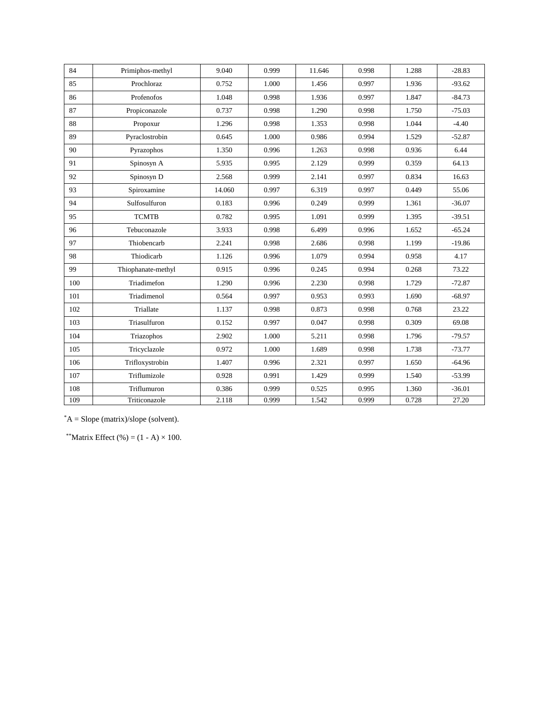| 84  | Primiphos-methyl   | 9.040  | 0.999 | 11.646 | 0.998 | 1.288 | $-28.83$ |
|-----|--------------------|--------|-------|--------|-------|-------|----------|
| 85  | Prochloraz         | 0.752  | 1.000 | 1.456  | 0.997 | 1.936 | $-93.62$ |
| 86  | Profenofos         | 1.048  | 0.998 | 1.936  | 0.997 | 1.847 | $-84.73$ |
| 87  | Propiconazole      | 0.737  | 0.998 | 1.290  | 0.998 | 1.750 | $-75.03$ |
| 88  | Propoxur           | 1.296  | 0.998 | 1.353  | 0.998 | 1.044 | $-4.40$  |
| 89  | Pyraclostrobin     | 0.645  | 1.000 | 0.986  | 0.994 | 1.529 | $-52.87$ |
| 90  | Pyrazophos         | 1.350  | 0.996 | 1.263  | 0.998 | 0.936 | 6.44     |
| 91  | Spinosyn A         | 5.935  | 0.995 | 2.129  | 0.999 | 0.359 | 64.13    |
| 92  | Spinosyn D         | 2.568  | 0.999 | 2.141  | 0.997 | 0.834 | 16.63    |
| 93  | Spiroxamine        | 14.060 | 0.997 | 6.319  | 0.997 | 0.449 | 55.06    |
| 94  | Sulfosulfuron      | 0.183  | 0.996 | 0.249  | 0.999 | 1.361 | $-36.07$ |
| 95  | <b>TCMTB</b>       | 0.782  | 0.995 | 1.091  | 0.999 | 1.395 | $-39.51$ |
| 96  | Tebuconazole       | 3.933  | 0.998 | 6.499  | 0.996 | 1.652 | $-65.24$ |
| 97  | Thiobencarb        | 2.241  | 0.998 | 2.686  | 0.998 | 1.199 | $-19.86$ |
| 98  | Thiodicarb         | 1.126  | 0.996 | 1.079  | 0.994 | 0.958 | 4.17     |
| 99  | Thiophanate-methyl | 0.915  | 0.996 | 0.245  | 0.994 | 0.268 | 73.22    |
| 100 | Triadimefon        | 1.290  | 0.996 | 2.230  | 0.998 | 1.729 | $-72.87$ |
| 101 | Triadimenol        | 0.564  | 0.997 | 0.953  | 0.993 | 1.690 | $-68.97$ |
| 102 | Triallate          | 1.137  | 0.998 | 0.873  | 0.998 | 0.768 | 23.22    |
| 103 | Triasulfuron       | 0.152  | 0.997 | 0.047  | 0.998 | 0.309 | 69.08    |
| 104 | Triazophos         | 2.902  | 1.000 | 5.211  | 0.998 | 1.796 | $-79.57$ |
| 105 | Tricyclazole       | 0.972  | 1.000 | 1.689  | 0.998 | 1.738 | $-73.77$ |
| 106 | Trifloxystrobin    | 1.407  | 0.996 | 2.321  | 0.997 | 1.650 | $-64.96$ |
| 107 | Triflumizole       | 0.928  | 0.991 | 1.429  | 0.999 | 1.540 | $-53.99$ |
| 108 | Triflumuron        | 0.386  | 0.999 | 0.525  | 0.995 | 1.360 | $-36.01$ |
| 109 | Triticonazole      | 2.118  | 0.999 | 1.542  | 0.999 | 0.728 | 27.20    |

\*A = Slope (matrix)/slope (solvent).

\*\*Matrix Effect  $(\% ) = (1 - A) \times 100$ .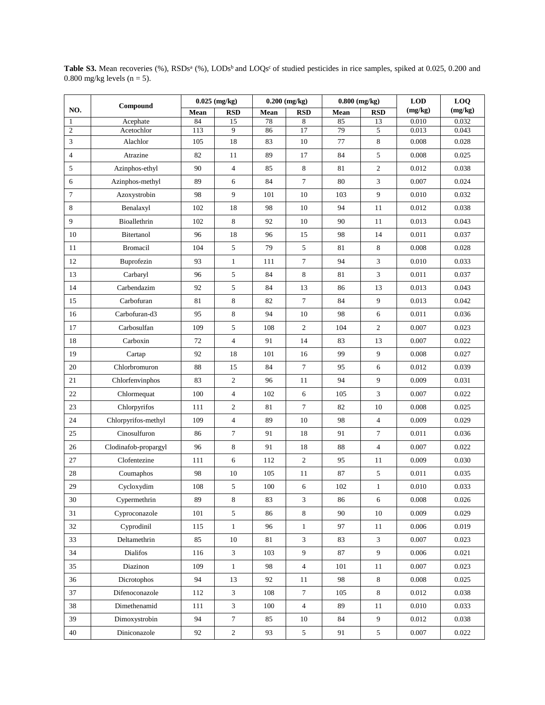|                | Compound             |      | $0.025$ (mg/kg)         |      | $0.200$ (mg/kg)  | $0.800$ (mg/kg) |                | <b>LOD</b><br>(mg/kg)<br>0.010 | LOQ     |
|----------------|----------------------|------|-------------------------|------|------------------|-----------------|----------------|--------------------------------|---------|
| NO.            |                      | Mean | <b>RSD</b>              | Mean | <b>RSD</b>       | Mean            | <b>RSD</b>     |                                | (mg/kg) |
| 1              | Acephate             | 84   | 15                      | 78   | 8                | 85              | 13             |                                | 0.032   |
| $\overline{c}$ | Acetochlor           | 113  | 9                       | 86   | 17               | 79              | 5              | 0.013                          | 0.043   |
| 3              | Alachlor             | 105  | 18                      | 83   | 10               | 77              | $\,8$          | 0.008                          | 0.028   |
| 4              | Atrazine             | 82   | 11                      | 89   | 17               | 84              | 5              | 0.008                          | 0.025   |
| 5              | Azinphos-ethyl       | 90   | $\overline{4}$          | 85   | 8                | 81              | $\mathbf{2}$   | 0.012                          | 0.038   |
| 6              | Azinphos-methyl      | 89   | 6                       | 84   | $\tau$           | 80              | 3              | 0.007                          | 0.024   |
| 7              | Azoxystrobin         | 98   | 9                       | 101  | 10               | 103             | 9              | 0.010                          | 0.032   |
| 8              | Benalaxyl            | 102  | 18                      | 98   | 10               | 94              | 11             | 0.012                          | 0.038   |
| 9              | Bioallethrin         | 102  | 8                       | 92   | 10               | 90              | 11             | 0.013                          | 0.043   |
| 10             | Bitertanol           | 96   | 18                      | 96   | 15               | 98              | 14             | 0.011                          | 0.037   |
| 11             | <b>Bromacil</b>      | 104  | 5                       | 79   | 5                | 81              | 8              | 0.008                          | 0.028   |
| 12             | Buprofezin           | 93   | $\mathbf{1}$            | 111  | $\tau$           | 94              | 3              | 0.010                          | 0.033   |
| 13             | Carbaryl             | 96   | 5                       | 84   | 8                | 81              | 3              | 0.011                          | 0.037   |
| 14             | Carbendazim          | 92   | 5                       | 84   | 13               | 86              | 13             | 0.013                          | 0.043   |
| 15             | Carbofuran           | 81   | 8                       | 82   | $\tau$           | 84              | 9              | 0.013                          | 0.042   |
| 16             | Carbofuran-d3        | 95   | 8                       | 94   | 10               | 98              | 6              | 0.011                          | 0.036   |
| 17             | Carbosulfan          | 109  | 5                       | 108  | $\mathfrak{2}$   | 104             | $\overline{c}$ | 0.007                          | 0.023   |
| 18             | Carboxin             | 72   | $\overline{\mathbf{4}}$ | 91   | 14               | 83              | 13             | 0.007                          | 0.022   |
| 19             | Cartap               | 92   | 18                      | 101  | 16               | 99              | 9              | 0.008                          | 0.027   |
| 20             | Chlorbromuron        | 88   | 15                      | 84   | $\tau$           | 95              | 6              | 0.012                          | 0.039   |
| 21             | Chlorfenvinphos      | 83   | $\overline{c}$          | 96   | 11               | 94              | 9              | 0.009                          | 0.031   |
| $22\,$         | Chlormequat          | 100  | $\overline{4}$          | 102  | 6                | 105             | 3              | 0.007                          | 0.022   |
| 23             | Chlorpyrifos         | 111  | $\mathbf{2}$            | 81   | $\boldsymbol{7}$ | 82              | $10\,$         | 0.008                          | 0.025   |
| 24             | Chlorpyrifos-methyl  | 109  | $\overline{4}$          | 89   | 10               | 98              | 4              | 0.009                          | 0.029   |
| 25             | Cinosulfuron         | 86   | $\tau$                  | 91   | 18               | 91              | 7              | 0.011                          | 0.036   |
| 26             | Clodinafob-propargyl | 96   | 8                       | 91   | 18               | 88              | 4              | 0.007                          | 0.022   |
| 27             | Clofentezine         | 111  | 6                       | 112  | $\overline{2}$   | 95              | 11             | 0.009                          | 0.030   |
| 28             | Coumaphos            | 98   | 10                      | 105  | $11\,$           | $87\,$          | 5              | 0.011                          | 0.035   |
| 29             | Cycloxydim           | 108  | 5                       | 100  | 6                | 102             | $\mathbf{1}$   | 0.010                          | 0.033   |
| $30\,$         | Cypermethrin         | 89   | $\,8$                   | 83   | 3                | 86              | 6              | 0.008                          | 0.026   |
| 31             | Cyproconazole        | 101  | $\sqrt{5}$              | 86   | 8                | 90              | $10\,$         | 0.009                          | 0.029   |
| 32             | Cyprodinil           | 115  | $\mathbf{1}$            | 96   | $\mathbf{1}$     | 97              | 11             | 0.006                          | 0.019   |
| 33             | Deltamethrin         | 85   | 10                      | 81   | 3                | 83              | 3              | 0.007                          | 0.023   |
| 34             | Dialifos             | 116  | $\mathfrak{Z}$          | 103  | 9                | $87\,$          | 9              | 0.006                          | 0.021   |
| 35             | Diazinon             | 109  | $\mathbf{1}$            | 98   | $\overline{4}$   | 101             | 11             | 0.007                          | 0.023   |
| 36             | Dicrotophos          | 94   | 13                      | 92   | 11               | 98              | 8              | 0.008                          | 0.025   |
| 37             | Difenoconazole       | 112  | 3                       | 108  | $\tau$           | 105             | $\,8\,$        | 0.012                          | 0.038   |
| 38             | Dimethenamid         | 111  | $\mathfrak{Z}$          | 100  | $\overline{4}$   | 89              | 11             | 0.010                          | 0.033   |
| 39             | Dimoxystrobin        | 94   | $\boldsymbol{7}$        | 85   | 10               | 84              | 9              | 0.012                          | 0.038   |
| $40\,$         | Diniconazole         | 92   | $\sqrt{2}$              | 93   | $\mathfrak{S}$   | 91              | 5              | 0.007                          | 0.022   |

Table S3. Mean recoveries (%), RSDs<sup>a</sup> (%), LODs<sup>b</sup> and LOQs<sup>c</sup> of studied pesticides in rice samples, spiked at 0.025, 0.200 and 0.800 mg/kg levels ( $n = 5$ ).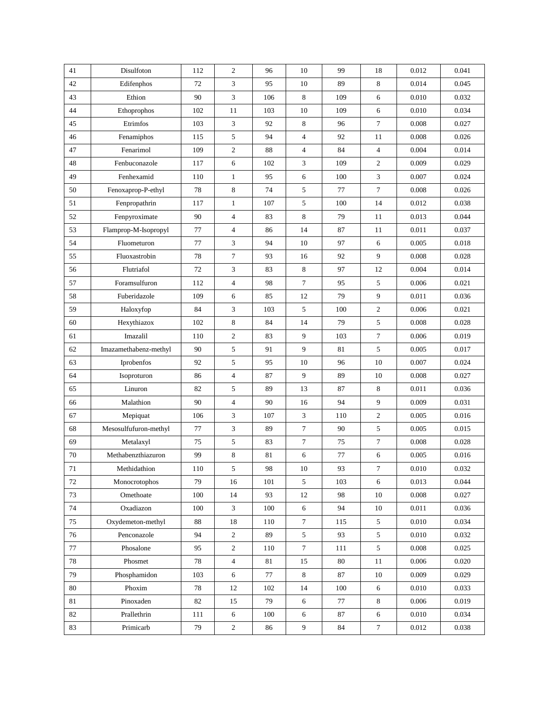| 41     | Disulfoton            | 112 | $\overline{c}$ | 96  | 10               | 99  | 18               | 0.012 | 0.041 |
|--------|-----------------------|-----|----------------|-----|------------------|-----|------------------|-------|-------|
| 42     | Edifenphos            | 72  | 3              | 95  | 10               | 89  | 8                | 0.014 | 0.045 |
| 43     | Ethion                | 90  | 3              | 106 | 8                | 109 | 6                | 0.010 | 0.032 |
| 44     | Ethoprophos           | 102 | 11             | 103 | 10               | 109 | 6                | 0.010 | 0.034 |
| 45     | Etrimfos              | 103 | 3              | 92  | 8                | 96  | $\tau$           | 0.008 | 0.027 |
| 46     | Fenamiphos            | 115 | 5              | 94  | $\overline{4}$   | 92  | 11               | 0.008 | 0.026 |
| 47     | Fenarimol             | 109 | 2              | 88  | $\overline{4}$   | 84  | $\overline{4}$   | 0.004 | 0.014 |
| 48     | Fenbuconazole         | 117 | 6              | 102 | 3                | 109 | $\overline{2}$   | 0.009 | 0.029 |
| 49     | Fenhexamid            | 110 | $\mathbf{1}$   | 95  | 6                | 100 | $\mathfrak{Z}$   | 0.007 | 0.024 |
| 50     | Fenoxaprop-P-ethyl    | 78  | 8              | 74  | 5                | 77  | $\boldsymbol{7}$ | 0.008 | 0.026 |
| 51     | Fenpropathrin         | 117 | $\mathbf{1}$   | 107 | 5                | 100 | 14               | 0.012 | 0.038 |
| 52     | Fenpyroximate         | 90  | $\overline{4}$ | 83  | 8                | 79  | 11               | 0.013 | 0.044 |
| 53     | Flamprop-M-Isopropyl  | 77  | $\overline{4}$ | 86  | 14               | 87  | 11               | 0.011 | 0.037 |
| 54     | Fluometuron           | 77  | 3              | 94  | 10               | 97  | 6                | 0.005 | 0.018 |
| 55     | Fluoxastrobin         | 78  | $\tau$         | 93  | 16               | 92  | 9                | 0.008 | 0.028 |
| 56     | Flutriafol            | 72  | 3              | 83  | $\,8\,$          | 97  | 12               | 0.004 | 0.014 |
| 57     | Foramsulfuron         | 112 | $\overline{4}$ | 98  | $7\phantom{.0}$  | 95  | 5                | 0.006 | 0.021 |
| 58     | Fuberidazole          | 109 | 6              | 85  | 12               | 79  | 9                | 0.011 | 0.036 |
| 59     | Haloxyfop             | 84  | 3              | 103 | 5                | 100 | 2                | 0.006 | 0.021 |
| 60     | Hexythiazox           | 102 | 8              | 84  | 14               | 79  | 5                | 0.008 | 0.028 |
| 61     | Imazalil              | 110 | $\overline{c}$ | 83  | 9                | 103 | $\overline{7}$   | 0.006 | 0.019 |
| 62     | Imazamethabenz-methyl | 90  | 5              | 91  | 9                | 81  | 5                | 0.005 | 0.017 |
| 63     | Iprobenfos            | 92  | 5              | 95  | 10               | 96  | 10               | 0.007 | 0.024 |
| 64     | Isoproturon           | 86  | $\overline{4}$ | 87  | 9                | 89  | 10               | 0.008 | 0.027 |
| 65     | Linuron               | 82  | 5              | 89  | 13               | 87  | 8                | 0.011 | 0.036 |
| 66     | Malathion             | 90  | $\overline{4}$ | 90  | 16               | 94  | 9                | 0.009 | 0.031 |
| 67     | Mepiquat              | 106 | 3              | 107 | 3                | 110 | $\overline{c}$   | 0.005 | 0.016 |
| 68     | Mesosulfufuron-methyl | 77  | 3              | 89  | $\overline{7}$   | 90  | 5                | 0.005 | 0.015 |
| 69     | Metalaxyl             | 75  | 5              | 83  | $\overline{7}$   | 75  | $\boldsymbol{7}$ | 0.008 | 0.028 |
| 70     | Methabenzthiazuron    | 99  | 8              | 81  | 6                | 77  | 6                | 0.005 | 0.016 |
| $71\,$ | Methidathion          | 110 | 5              | 98  | $10\,$           | 93  | $\boldsymbol{7}$ | 0.010 | 0.032 |
| $72\,$ | Monocrotophos         | 79  | 16             | 101 | 5                | 103 | 6                | 0.013 | 0.044 |
| 73     | Omethoate             | 100 | 14             | 93  | 12               | 98  | 10               | 0.008 | 0.027 |
| 74     | Oxadiazon             | 100 | 3              | 100 | 6                | 94  | 10               | 0.011 | 0.036 |
| 75     | Oxydemeton-methyl     | 88  | 18             | 110 | $\tau$           | 115 | 5                | 0.010 | 0.034 |
| 76     | Penconazole           | 94  | $\overline{c}$ | 89  | 5                | 93  | 5                | 0.010 | 0.032 |
| 77     | Phosalone             | 95  | $\mathbf{2}$   | 110 | $\tau$           | 111 | 5                | 0.008 | 0.025 |
| 78     | Phosmet               | 78  | $\overline{4}$ | 81  | 15               | 80  | 11               | 0.006 | 0.020 |
| 79     | Phosphamidon          | 103 | 6              | 77  | $\,8\,$          | 87  | 10               | 0.009 | 0.029 |
| 80     | Phoxim                | 78  | 12             | 102 | 14               | 100 | 6                | 0.010 | 0.033 |
| 81     | Pinoxaden             | 82  | 15             | 79  | 6                | 77  | 8                | 0.006 | 0.019 |
| 82     | Prallethrin           | 111 | 6              | 100 | 6                | 87  | 6                | 0.010 | 0.034 |
| 83     | Primicarb             | 79  | $\sqrt{2}$     | 86  | $\boldsymbol{9}$ | 84  | $\tau$           | 0.012 | 0.038 |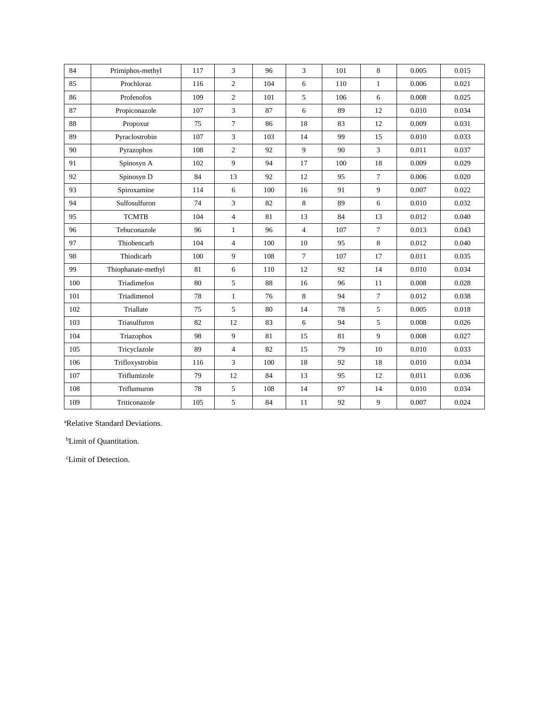| 84  | Primiphos-methyl   | 117 | 3              | 96  | 3              | 101 | 8              | 0.005 | 0.015 |
|-----|--------------------|-----|----------------|-----|----------------|-----|----------------|-------|-------|
| 85  | Prochloraz         | 116 | $\overline{2}$ | 104 | 6              | 110 | $\mathbf{1}$   | 0.006 | 0.021 |
| 86  | Profenofos         | 109 | $\overline{c}$ | 101 | 5              | 106 | 6              | 0.008 | 0.025 |
| 87  | Propiconazole      | 107 | 3              | 87  | 6              | 89  | 12             | 0.010 | 0.034 |
| 88  | Propoxur           | 75  | $\overline{7}$ | 86  | 18             | 83  | 12             | 0.009 | 0.031 |
| 89  | Pyraclostrobin     | 107 | 3              | 103 | 14             | 99  | 15             | 0.010 | 0.033 |
| 90  | Pyrazophos         | 108 | $\overline{c}$ | 92  | 9              | 90  | $\overline{3}$ | 0.011 | 0.037 |
| 91  | Spinosyn A         | 102 | 9              | 94  | 17             | 100 | 18             | 0.009 | 0.029 |
| 92  | Spinosyn D         | 84  | 13             | 92  | 12             | 95  | $\overline{7}$ | 0.006 | 0.020 |
| 93  | Spiroxamine        | 114 | 6              | 100 | 16             | 91  | 9              | 0.007 | 0.022 |
| 94  | Sulfosulfuron      | 74  | 3              | 82  | $\,8\,$        | 89  | 6              | 0.010 | 0.032 |
| 95  | <b>TCMTB</b>       | 104 | $\overline{4}$ | 81  | 13             | 84  | 13             | 0.012 | 0.040 |
| 96  | Tebuconazole       | 96  | $\mathbf{1}$   | 96  | $\overline{4}$ | 107 | $\overline{7}$ | 0.013 | 0.043 |
| 97  | Thiobencarb        | 104 | $\overline{4}$ | 100 | 10             | 95  | 8              | 0.012 | 0.040 |
| 98  | Thiodicarb         | 100 | 9              | 108 | $\overline{7}$ | 107 | 17             | 0.011 | 0.035 |
| 99  | Thiophanate-methyl | 81  | 6              | 110 | 12             | 92  | 14             | 0.010 | 0.034 |
| 100 | Triadimefon        | 80  | 5              | 88  | 16             | 96  | 11             | 0.008 | 0.028 |
| 101 | Triadimenol        | 78  | $\mathbf{1}$   | 76  | $\,8\,$        | 94  | $\tau$         | 0.012 | 0.038 |
| 102 | Triallate          | 75  | 5              | 80  | 14             | 78  | 5              | 0.005 | 0.018 |
| 103 | Triasulfuron       | 82  | 12             | 83  | 6              | 94  | 5              | 0.008 | 0.026 |
| 104 | Triazophos         | 98  | 9              | 81  | 15             | 81  | 9              | 0.008 | 0.027 |
| 105 | Tricyclazole       | 89  | $\overline{4}$ | 82  | 15             | 79  | 10             | 0.010 | 0.033 |
| 106 | Trifloxystrobin    | 116 | 3              | 100 | 18             | 92  | 18             | 0.010 | 0.034 |
| 107 | Triflumizole       | 79  | 12             | 84  | 13             | 95  | 12             | 0.011 | 0.036 |
| 108 | Triflumuron        | 78  | 5              | 108 | 14             | 97  | 14             | 0.010 | 0.034 |
| 109 | Triticonazole      | 105 | 5              | 84  | 11             | 92  | 9              | 0.007 | 0.024 |

<sup>a</sup>Relative Standard Deviations.

<sup>b</sup>Limit of Quantitation.

cLimit of Detection.